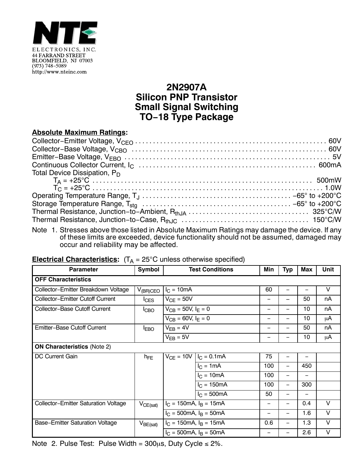

## **2N2907A Silicon PNP Transistor Small Signal Switching TO−18 Type Package**

## **Absolute Maximum Ratings:**

| Total Device Dissipation, $P_D$ |  |
|---------------------------------|--|
|                                 |  |
|                                 |  |
|                                 |  |
|                                 |  |
|                                 |  |
|                                 |  |

Note 1. Stresses above those listed in Absolute Maximum Ratings may damage the device. If any of these limits are exceeded, device functionality should not be assumed, damaged may occur and reliability may be affected.

## **Electrical Characteristics:**  $(T_A = 25^{\circ}C$  unless otherwise specified)

| <b>Parameter</b>                            | <b>Symbol</b>    | <b>Test Conditions</b>                                                                 |                                           |                          | Тур                      | Max | Unit |  |  |  |  |
|---------------------------------------------|------------------|----------------------------------------------------------------------------------------|-------------------------------------------|--------------------------|--------------------------|-----|------|--|--|--|--|
| <b>OFF Characteristics</b>                  |                  |                                                                                        |                                           |                          |                          |     |      |  |  |  |  |
| Collector-Emitter Breakdown Voltage         | $V_{(BR)CEO}$    | $I_{C} = 10mA$                                                                         |                                           | 60                       | —                        |     | V    |  |  |  |  |
| Collector-Emitter Cutoff Current            | $I_{\text{CES}}$ | $V_{CE} = 50V$                                                                         |                                           | -                        | —                        | 50  | nA   |  |  |  |  |
| Collector-Base Cutoff Current               | I <sub>CBO</sub> | $V_{CB} = 50V, IE = 0$                                                                 |                                           | -                        | —                        | 10  | пA   |  |  |  |  |
|                                             |                  | $V_{CB} = 60V, IE = 0$                                                                 |                                           | -                        | —                        | 10  | μA   |  |  |  |  |
| Emitter-Base Cutoff Current                 | <b>IEBO</b>      | $V_{FB} = 4V$                                                                          |                                           | $\qquad \qquad$          | —                        | 50  | nA   |  |  |  |  |
|                                             |                  | $V_{FB} = 5V$                                                                          |                                           | —                        | —                        | 10  | μA   |  |  |  |  |
| <b>ON Characteristics (Note 2)</b>          |                  |                                                                                        |                                           |                          |                          |     |      |  |  |  |  |
| DC Current Gain                             | $h_{FE}$         | $V_{CE} = 10V$                                                                         | $I_C = 0.1mA$                             | 75                       |                          |     |      |  |  |  |  |
|                                             |                  |                                                                                        | $I_C = 1mA$                               | 100                      | -                        | 450 |      |  |  |  |  |
|                                             |                  |                                                                                        | $I_{C} = 10mA$                            | 100                      | —                        |     |      |  |  |  |  |
|                                             |                  |                                                                                        | $I_{C} = 150mA$                           | 100                      | -                        | 300 |      |  |  |  |  |
|                                             |                  |                                                                                        | $I_{C} = 500mA$                           | 50                       | $\qquad \qquad -$        |     |      |  |  |  |  |
| <b>Collector-Emitter Saturation Voltage</b> | $V_{CE(sat)}$    | $I_C = 150 \text{mA}, I_B = 15 \text{mA}$                                              |                                           | $\overline{\phantom{m}}$ | $\overline{\phantom{0}}$ | 0.4 | V    |  |  |  |  |
|                                             |                  |                                                                                        | $I_C = 500 \text{mA}, I_B = 50 \text{mA}$ | —                        | $\overline{\phantom{0}}$ | 1.6 | V    |  |  |  |  |
| Base-Emitter Saturation Voltage             | $V_{BE(sat)}$    | $I_C = 150 \text{mA}, I_B = 15 \text{mA}$<br>$I_C = 500 \text{mA}, I_B = 50 \text{mA}$ |                                           | 0.6                      | $\overline{\phantom{0}}$ | 1.3 | V    |  |  |  |  |
|                                             |                  |                                                                                        |                                           |                          |                          | 2.6 | V    |  |  |  |  |

Note 2. Pulse Test: Pulse Width =  $300\mu s$ , Duty Cycle  $\leq 2\%$ .